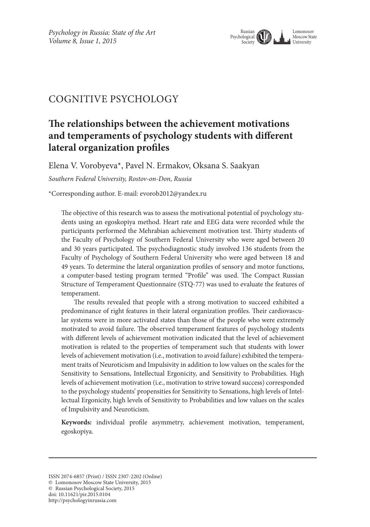

# Cognitive psychology

# **The relationships between the achievement motivations and temperaments of psychology students with different lateral organization profiles**

Elena V. Vorobyeva\*, Pavel N. Ermakov, Oksana S. Saakyan

*Southern Federal University, Rostov-on-Don, Russia*

\*Corresponding author. E-mail: evorob2012@yandex.ru

The objective of this research was to assess the motivational potential of psychology students using an egoskopiya method. Heart rate and EEG data were recorded while the participants performed the Mehrabian achievement motivation test. Thirty students of the Faculty of Psychology of Southern Federal University who were aged between 20 and 30 years participated. The psychodiagnostic study involved 136 students from the Faculty of Psychology of Southern Federal University who were aged between 18 and 49 years. To determine the lateral organization profiles of sensory and motor functions, a computer-based testing program termed "Profile" was used. The Compact Russian Structure of Temperament Questionnaire (STQ-77) was used to evaluate the features of temperament.

The results revealed that people with a strong motivation to succeed exhibited a predominance of right features in their lateral organization profiles. Their cardiovascular systems were in more activated states than those of the people who were extremely motivated to avoid failure. The observed temperament features of psychology students with different levels of achievement motivation indicated that the level of achievement motivation is related to the properties of temperament such that students with lower levels of achievement motivation (i.e., motivation to avoid failure) exhibited the temperament traits of Neuroticism and Impulsivity in addition to low values on the scales for the Sensitivity to Sensations, Intellectual Ergonicity, and Sensitivity to Probabilities. High levels of achievement motivation (i.e., motivation to strive toward success) corresponded to the psychology students' propensities for Sensitivity to Sensations, high levels of Intellectual Ergonicity, high levels of Sensitivity to Probabilities and low values on the scales of Impulsivity and Neuroticism.

**Keywords:** individual profile asymmetry, achievement motivation, temperament, egoskopiya.

© Russian Psychological Society, 2015

ISSN 2074-6857 (Print) / ISSN 2307-2202 (Online)

<sup>©</sup> Lomonosov Moscow State University, 2015

doi: 10.11621/pir.2015.0104

http://psychologyinrussia.com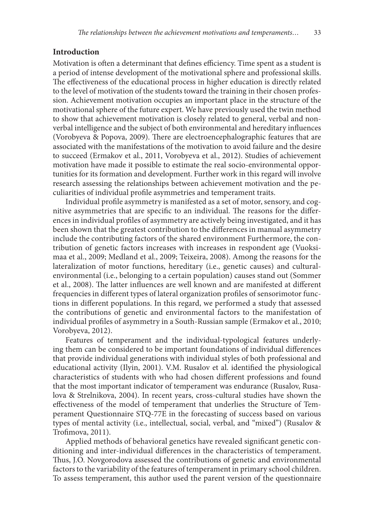## **Introduction**

Motivation is often a determinant that defines efficiency. Time spent as a student is a period of intense development of the motivational sphere and professional skills. The effectiveness of the educational process in higher education is directly related to the level of motivation of the students toward the training in their chosen profession. Achievement motivation occupies an important place in the structure of the motivational sphere of the future expert. We have previously used the twin method to show that achievement motivation is closely related to general, verbal and nonverbal intelligence and the subject of both environmental and hereditary influences (Vorobyeva & Popova, 2009). There are electroencephalographic features that are associated with the manifestations of the motivation to avoid failure and the desire to succeed (Ermakov et al., 2011, Vorobyeva et al., 2012). Studies of achievement motivation have made it possible to estimate the real socio-environmental opportunities for its formation and development. Further work in this regard will involve research assessing the relationships between achievement motivation and the peculiarities of individual profile asymmetries and temperament traits.

Individual profile asymmetry is manifested as a set of motor, sensory, and cognitive asymmetries that are specific to an individual. The reasons for the differences in individual profiles of asymmetry are actively being investigated, and it has been shown that the greatest contribution to the differences in manual asymmetry include the contributing factors of the shared environment Furthermore, the contribution of genetic factors increases with increases in respondent age (Vuoksimaa et al., 2009; Medland et al., 2009; Teixeira, 2008). Among the reasons for the lateralization of motor functions, hereditary (i.e., genetic causes) and culturalenvironmental (i.e., belonging to a certain population) causes stand out (Sommer et al., 2008). The latter influences are well known and are manifested at different frequencies in different types of lateral organization profiles of sensorimotor functions in different populations. In this regard, we performed a study that assessed the contributions of genetic and environmental factors to the manifestation of individual profiles of asymmetry in a South-Russian sample (Ermakov et al., 2010; Vorobyeva, 2012).

Features of temperament and the individual-typological features underlying them can be considered to be important foundations of individual differences that provide individual generations with individual styles of both professional and educational activity (Ilyin, 2001). V.M. Rusalov et al. identified the physiological characteristics of students with who had chosen different professions and found that the most important indicator of temperament was endurance (Rusalov, Rusalova & Strelnikova, 2004). In recent years, cross-cultural studies have shown the effectiveness of the model of temperament that underlies the Structure of Temperament Questionnaire STQ-77E in the forecasting of success based on various types of mental activity (i.e., intellectual, social, verbal, and "mixed") (Rusalov & Trofimova, 2011).

Applied methods of behavioral genetics have revealed significant genetic conditioning and inter-individual differences in the characteristics of temperament. Thus, J.O. Novgorodova assessed the contributions of genetic and environmental factors to the variability of the features of temperament in primary school children. To assess temperament, this author used the parent version of the questionnaire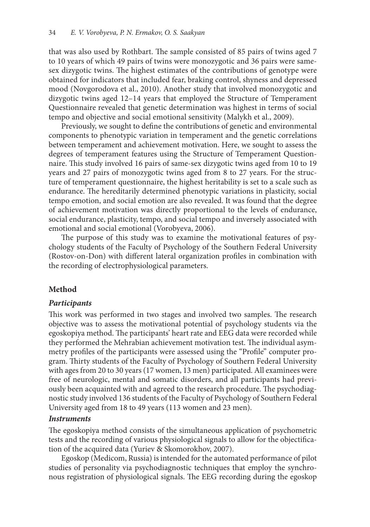that was also used by Rothbart. The sample consisted of 85 pairs of twins aged 7 to 10 years of which 49 pairs of twins were monozygotic and 36 pairs were samesex dizygotic twins. The highest estimates of the contributions of genotype were obtained for indicators that included fear, braking control, shyness and depressed mood (Novgorodova et al., 2010). Another study that involved monozygotic and dizygotic twins aged 12–14 years that employed the Structure of Temperament Questionnaire revealed that genetic determination was highest in terms of social tempo and objective and social emotional sensitivity (Malykh et al., 2009).

Previously, we sought to define the contributions of genetic and environmental components to phenotypic variation in temperament and the genetic correlations between temperament and achievement motivation. Here, we sought to assess the degrees of temperament features using the Structure of Temperament Questionnaire. This study involved 16 pairs of same-sex dizygotic twins aged from 10 to 19 years and 27 pairs of monozygotic twins aged from 8 to 27 years. For the structure of temperament questionnaire, the highest heritability is set to a scale such as endurance. The hereditarily determined phenotypic variations in plasticity, social tempo emotion, and social emotion are also revealed. It was found that the degree of achievement motivation was directly proportional to the levels of endurance, social endurance, plasticity, tempo, and social tempo and inversely associated with emotional and social emotional (Vorobyeva, 2006).

The purpose of this study was to examine the motivational features of psychology students of the Faculty of Psychology of the Southern Federal University (Rostov-on-Don) with different lateral organization profiles in combination with the recording of electrophysiological parameters.

## **Method**

## *Participants*

This work was performed in two stages and involved two samples. The research objective was to assess the motivational potential of psychology students via the egoskopiya method. The participants' heart rate and EEG data were recorded while they performed the Mehrabian achievement motivation test. The individual asymmetry profiles of the participants were assessed using the "Profile" computer program. Thirty students of the Faculty of Psychology of Southern Federal University with ages from 20 to 30 years (17 women, 13 men) participated. All examinees were free of neurologic, mental and somatic disorders, and all participants had previously been acquainted with and agreed to the research procedure. The psychodiagnostic study involved 136 students of the Faculty of Psychology of Southern Federal University aged from 18 to 49 years (113 women and 23 men).

## *Instruments*

The egoskopiya method consists of the simultaneous application of psychometric tests and the recording of various physiological signals to allow for the objectification of the acquired data (Yuriev & Skomorokhov, 2007).

Egoskop (Medicom, Russia) is intended for the automated performance of pilot studies of personality via psychodiagnostic techniques that employ the synchronous registration of physiological signals. The EEG recording during the egoskop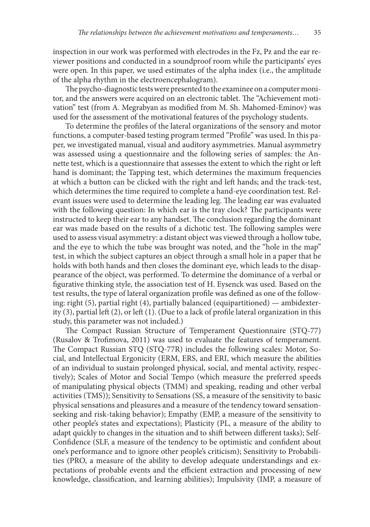inspection in our work was performed with electrodes in the Fz, Pz and the ear reviewer positions and conducted in a soundproof room while the participants' eyes were open. In this paper, we used estimates of the alpha index (i.e., the amplitude of the alpha rhythm in the electroencephalogram).

The psycho-diagnostic tests were presented to the examinee on a computer monitor, and the answers were acquired on an electronic tablet. The "Achievement motivation" test (from A. Megrabyan as modified from M. Sh. Mahomed-Eminov) was used for the assessment of the motivational features of the psychology students.

To determine the profiles of the lateral organizations of the sensory and motor functions, a computer-based testing program termed "Profile" was used. In this paper, we investigated manual, visual and auditory asymmetries. Manual asymmetry was assessed using a questionnaire and the following series of samples: the Annette test, which is a questionnaire that assesses the extent to which the right or left hand is dominant; the Tapping test, which determines the maximum frequencies at which a button can be clicked with the right and left hands; and the track-test, which determines the time required to complete a hand-eye coordination test. Relevant issues were used to determine the leading leg. The leading ear was evaluated with the following question: In which ear is the tray clock? The participants were instructed to keep their ear to any handset. The conclusion regarding the dominant ear was made based on the results of a dichotic test. The following samples were used to assess visual asymmetry: a distant object was viewed through a hollow tube, and the eye to which the tube was brought was noted, and the "hole in the map" test, in which the subject captures an object through a small hole in a paper that he holds with both hands and then closes the dominant eye, which leads to the disappearance of the object, was performed. To determine the dominance of a verbal or figurative thinking style, the association test of H. Eysenck was used. Based on the test results, the type of lateral organization profile was defined as one of the following: right (5), partial right (4), partially balanced (equipartitioned) — ambidexterity (3), partial left (2), or left (1). (Due to a lack of profile lateral organization in this study, this parameter was not included.)

The Compact Russian Structure of Temperament Questionnaire (STQ-77) (Rusalov & Trofimova, 2011) was used to evaluate the features of temperament. The Compact Russian STQ (STQ-77R) includes the following scales: Motor, Social, and Intellectual Ergonicity (ERM, ERS, and ERI, which measure the abilities of an individual to sustain prolonged physical, social, and mental activity, respectively); Scales of Motor and Social Tempo (which measure the preferred speeds of manipulating physical objects (TMM) and speaking, reading and other verbal activities (TMS)); Sensitivity to Sensations (SS, a measure of the sensitivity to basic physical sensations and pleasures and a measure of the tendency toward sensationseeking and risk-taking behavior); Empathy (EMP, a measure of the sensitivity to other people's states and expectations); Plasticity (PL, a measure of the ability to adapt quickly to changes in the situation and to shift between different tasks); Self-Confidence (SLF, a measure of the tendency to be optimistic and confident about one's performance and to ignore other people's criticism); Sensitivity to Probabilities (PRO, a measure of the ability to develop adequate understandings and expectations of probable events and the efficient extraction and processing of new knowledge, classification, and learning abilities); Impulsivity (IMP, a measure of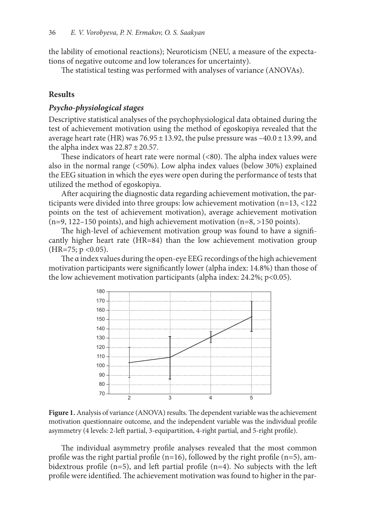the lability of emotional reactions); Neuroticism (NEU, a measure of the expectations of negative outcome and low tolerances for uncertainty).

The statistical testing was performed with analyses of variance (ANOVAs).

#### **Results**

#### *Psycho-physiological stages*

Descriptive statistical analyses of the psychophysiological data obtained during the test of achievement motivation using the method of egoskopiya revealed that the average heart rate (HR) was  $76.95 \pm 13.92$ , the pulse pressure was  $-40.0 \pm 13.99$ , and the alpha index was  $22.87 \pm 20.57$ .

These indicators of heart rate were normal (<80). The alpha index values were also in the normal range (<50%). Low alpha index values (below 30%) explained the EEG situation in which the eyes were open during the performance of tests that utilized the method of egoskopiya.

After acquiring the diagnostic data regarding achievement motivation, the participants were divided into three groups: low achievement motivation (n=13, <122 points on the test of achievement motivation), average achievement motivation  $(n=9, 122-150 \text{ points})$ , and high achievement motivation  $(n=8, >150 \text{ points})$ .

The high-level of achievement motivation group was found to have a significantly higher heart rate (HR=84) than the low achievement motivation group  $(HR=75; p < 0.05)$ .

The α index values during the open-eye EEG recordings of the high achievement motivation participants were significantly lower (alpha index: 14.8%) than those of the low achievement motivation participants (alpha index: 24.2%; p<0.05).



Figure 1. Analysis of variance (ANOVA) results. The dependent variable was the achievement motivation questionnaire outcome, and the independent variable was the individual profile asymmetry (4 levels: 2-left partial, 3-equipartition, 4-right partial, and 5-right profile).

The individual asymmetry profile analyses revealed that the most common profile was the right partial profile (n=16), followed by the right profile (n=5), ambidextrous profile (n=5), and left partial profile (n=4). No subjects with the left profile were identified. The achievement motivation was found to higher in the par-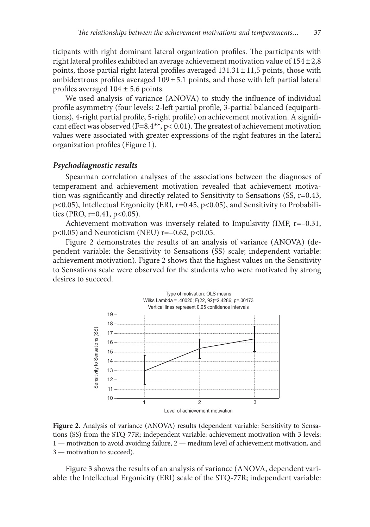ticipants with right dominant lateral organization profiles. The participants with right lateral profiles exhibited an average achievement motivation value of  $154 \pm 2.8$ points, those partial right lateral profiles averaged  $131.31 \pm 11.5$  points, those with ambidextrous profiles averaged  $109 \pm 5.1$  points, and those with left partial lateral profiles averaged  $104 \pm 5.6$  points.

We used analysis of variance (ANOVA) to study the influence of individual profile asymmetry (four levels: 2-left partial profile, 3-partial balanced (equipartitions), 4-right partial profile, 5-right profile) on achievement motivation. A significant effect was observed (F=8.4\*\*, p< 0.01). The greatest of achievement motivation values were associated with greater expressions of the right features in the lateral organization profiles (Figure 1).

#### *Psychodiagnostic results*

Spearman correlation analyses of the associations between the diagnoses of temperament and achievement motivation revealed that achievement motivation was significantly and directly related to Sensitivity to Sensations (SS, r=0.43, p<0.05), Intellectual Ergonicity (ERI, r=0.45, p<0.05), and Sensitivity to Probabilities (PRO,  $r=0.41$ ,  $p<0.05$ ).

Achievement motivation was inversely related to Impulsivity (IMP, r=–0.31,  $p$ <0.05) and Neuroticism (NEU) r=-0.62,  $p$ <0.05.

Figure 2 demonstrates the results of an analysis of variance (ANOVA) (dependent variable: the Sensitivity to Sensations (SS) scale; independent variable: achievement motivation). Figure 2 shows that the highest values on the Sensitivity to Sensations scale were observed for the students who were motivated by strong desires to succeed.



**Figure 2.** Analysis of variance (ANOVA) results (dependent variable: Sensitivity to Sensations (SS) from the STQ-77R; independent variable: achievement motivation with 3 levels: 1 — motivation to avoid avoiding failure, 2 — medium level of achievement motivation, and 3 — motivation to succeed).

Figure 3 shows the results of an analysis of variance (ANOVA, dependent variable: the Intellectual Ergonicity (ERI) scale of the STQ-77R; independent variable: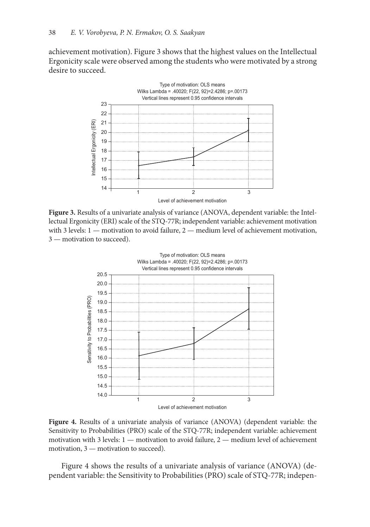achievement motivation). Figure 3 shows that the highest values on the Intellectual Ergonicity scale were observed among the students who were motivated by a strong desire to succeed.



**Figure 3.** Results of a univariate analysis of variance (ANOVA, dependent variable: the Intellectual Ergonicity (ERI) scale of the STQ-77R; independent variable: achievement motivation with 3 levels: 1 — motivation to avoid failure, 2 — medium level of achievement motivation, 3 — motivation to succeed).



**Figure 4.** Results of a univariate analysis of variance (ANOVA) (dependent variable: the Sensitivity to Probabilities (PRO) scale of the STQ-77R; independent variable: achievement motivation with 3 levels: 1 — motivation to avoid failure, 2 — medium level of achievement motivation, 3 — motivation to succeed).

Figure 4 shows the results of a univariate analysis of variance (ANOVA) (dependent variable: the Sensitivity to Probabilities (PRO) scale of STQ-77R; indepen-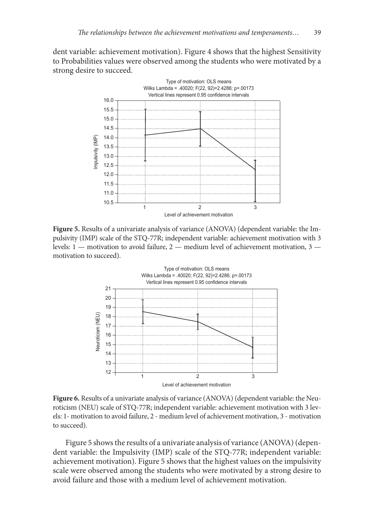dent variable: achievement motivation). Figure 4 shows that the highest Sensitivity to Probabilities values were observed among the students who were motivated by a strong desire to succeed.



**Figure 5.** Results of a univariate analysis of variance (ANOVA) (dependent variable: the Impulsivity (IMP) scale of the STQ-77R; independent variable: achievement motivation with 3 levels: 1 — motivation to avoid failure, 2 — medium level of achievement motivation, 3 motivation to succeed).



**Figure 6.** Results of a univariate analysis of variance (ANOVA) (dependent variable: the Neuroticism (NEU) scale of STQ-77R; independent variable: achievement motivation with 3 levels: 1- motivation to avoid failure, 2 - medium level of achievement motivation, 3 - motivation to succeed).

Figure 5 shows the results of a univariate analysis of variance (ANOVA) (dependent variable: the Impulsivity (IMP) scale of the STQ-77R; independent variable: achievement motivation). Figure 5 shows that the highest values on the impulsivity scale were observed among the students who were motivated by a strong desire to avoid failure and those with a medium level of achievement motivation.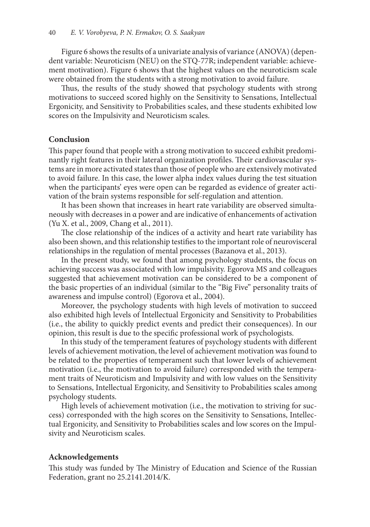Figure 6 shows the results of a univariate analysis of variance (ANOVA) (dependent variable: Neuroticism (NEU) on the STQ-77R; independent variable: achievement motivation). Figure 6 shows that the highest values on the neuroticism scale were obtained from the students with a strong motivation to avoid failure.

Thus, the results of the study showed that psychology students with strong motivations to succeed scored highly on the Sensitivity to Sensations, Intellectual Ergonicity, and Sensitivity to Probabilities scales, and these students exhibited low scores on the Impulsivity and Neuroticism scales.

### **Conclusion**

This paper found that people with a strong motivation to succeed exhibit predominantly right features in their lateral organization profiles. Their cardiovascular systems are in more activated states than those of people who are extensively motivated to avoid failure. In this case, the lower alpha index values during the test situation when the participants' eyes were open can be regarded as evidence of greater activation of the brain systems responsible for self-regulation and attention.

It has been shown that increases in heart rate variability are observed simultaneously with decreases in α power and are indicative of enhancements of activation (Yu X. et al., 2009, Chang et al., 2011).

The close relationship of the indices of α activity and heart rate variability has also been shown, and this relationship testifies to the important role of neurovisceral relationships in the regulation of mental processes (Bazanova et al., 2013).

In the present study, we found that among psychology students, the focus on achieving success was associated with low impulsivity. Egorova MS and colleagues suggested that achievement motivation can be considered to be a component of the basic properties of an individual (similar to the "Big Five" personality traits of awareness and impulse control) (Egorova et al., 2004).

Moreover, the psychology students with high levels of motivation to succeed also exhibited high levels of Intellectual Ergonicity and Sensitivity to Probabilities (i.e., the ability to quickly predict events and predict their consequences). In our opinion, this result is due to the specific professional work of psychologists.

In this study of the temperament features of psychology students with different levels of achievement motivation, the level of achievement motivation was found to be related to the properties of temperament such that lower levels of achievement motivation (i.e., the motivation to avoid failure) corresponded with the temperament traits of Neuroticism and Impulsivity and with low values on the Sensitivity to Sensations, Intellectual Ergonicity, and Sensitivity to Probabilities scales among psychology students.

High levels of achievement motivation (i.e., the motivation to striving for success) corresponded with the high scores on the Sensitivity to Sensations, Intellectual Ergonicity, and Sensitivity to Probabilities scales and low scores on the Impulsivity and Neuroticism scales.

#### **Acknowledgements**

This study was funded by The Ministry of Education and Science of the Russian Federation, grant no 25.2141.2014/K.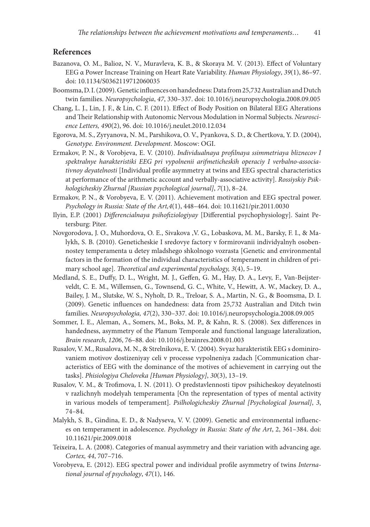### **References**

- Bazanova, O. M., Balioz, N. V., Muravleva, K. B., & Skoraya M. V. (2013). Effect of Voluntary EEG α Power Increase Training on Heart Rate Variability. *Human Physiology*, *39*(1), 86–97. doi: 10.1134/S0362119712060035
- Boomsma, D. I. (2009). Genetic influences on handedness: Data from 25,732 Australian and Dutch twin families. *Neuropsychologia*, *47*, 330–337. doi: 10.1016/j.neuropsychologia.2008.09.005
- Chang, L. J., Lin, J. F., & Lin, C. F. (2011). Effect of Body Position on Bilateral EEG Alterations and Their Relationship with Autonomic Nervous Modulation in Normal Subjects. *Neuroscience Letters, 490*(2), 96. doi: 10.1016/j.neulet.2010.12.034
- Egorova, M. S., Zyryanova, N. M., Parshikova, O. V., Pyankova, S. D., & Chertkova, Y. D. (2004), *Genotype. Environment. Development*. Moscow: OGI.
- Ermakov, P. N., & Vorobjeva, E. V. (2010). *Individualnaya profilnaya ssimmetriaya bliznecov I spektralnye harakteristiki EEG pri vypolnenii arifmeticheskih operaciy I verbalno-associativnoy deyatelnosti* [Individual profile asymmetry at twins and EEG spectral characteristics at performance of the arithmetic account and verbally-associative activity]. *Rossiyskiy Psikhologicheskiy Zhurnal [Russian psychological journal]*, *7*(1), 8–24.
- Ermakov, P. N., & Vorobyeva, E. V. (2011). Achievement motivation and EEG spectral power. *Psychology in Russia: State of the Art,4*(1), 448–464. doi: 10.11621/pir.2011.0030
- Ilyin, E.P. (2001) *Differencialnaya psihofiziologiyay* [Differential psychophysiology]. Saint Petersburg: Piter.
- Novgorodova, J. O., Muhordova, O. E., Sivakova ,V. G., Lobaskova, M. M., Barsky, F. I., & Malykh, S. B. (2010). Geneticheskie I sredovye factory v formirovanii individyalnyh osobennostey temperamenta u detey mladshego shkolnogo vozrasta [Genetic and environmental factors in the formation of the individual characteristics of temperament in children of primary school age]. *Theoretical and experimental psychology, 3*(4), 5–19.
- Medland, S. E., Duffy, D. L., Wright, M. J., Geffen, G. M., Hay, D. A., Levy, F., Van-Beijsterveldt, C. E. M., Willemsen, G., Townsend, G. C., White, V., Hewitt, A. W., Mackey, D. A., Bailey, J. M., Slutske, W. S., Nyholt, D. R., Treloar, S. A., Martin, N. G., & Boomsma, D. I. (2009). Genetic influences on handedness: data from 25,732 Australian and Ditch twin families. *Neuropsychologia, 47*(2), 330–337. doi: 10.1016/j.neuropsychologia.2008.09.005
- Sommer, I. E., Aleman, A., Somers, M., Boks, M. P., & Kahn, R. S. (2008). Sex differences in handedness, asymmetry of the Planum Temporale and functional language lateralization, *Brain research*, *1206*, 76–88. doi: 10.1016/j.brainres.2008.01.003
- Rusalov, V. M., Rusalova, M. N., & Strelnikova, E. V. (2004). Svyaz harakteristik EEG s dominirovaniem motivov dostizeniyay celi v processe vypolneniya zadach [Communication characteristics of EEG with the dominance of the motives of achievement in carrying out the tasks]. *Phisiologiya Cheloveka [Human Physiology]*, *30*(3), 13–19.
- Rusalov, V. M., & Trofimova, I. N. (2011). O predstavlennosti tipov psihicheskoy deyatelnosti v razlichnyh modelyah temperamenta [On the representation of types of mental activity in various models of temperament]. *Psilhologicheskiy Zhurnal [Psychological Journal]*, *3*, 74–84.
- Malykh, S. B., Gindina, E. D., & Nadyseva, V. V. (2009). Genetic and environmental influences on temperament in adolescence. *Psychology in Russia: State of the Art*, 2, 361–384. doi: 10.11621/pir.2009.0018
- Teixeira, L. A. (2008). Categories of manual asymmetry and their variation with advancing age. *Сortex, 44*, 707–716.
- Vorobyeva, E. (2012). EEG spectral power and individual profile asymmetry of twins *International journal of psychology*, *47*(1), 146.